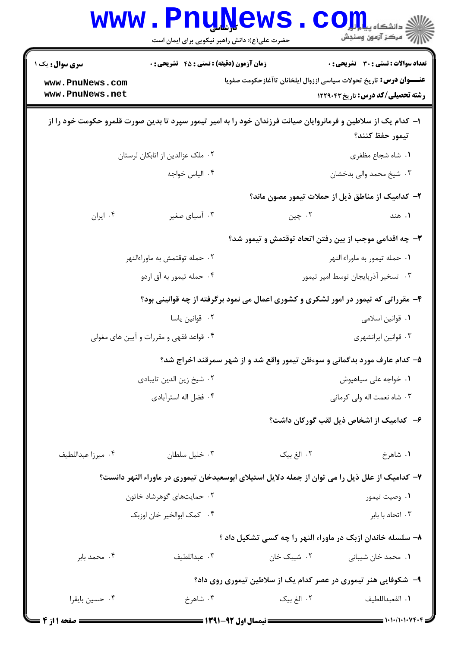|                                                                | <b>www.PnuNews</b><br>حضرت علی(ع): دانش راهبر نیکویی برای ایمان است                                           |                                                                           | ر آمرڪز آزمون وسنڊش                                                                                                                                                                                                                                                                                       |
|----------------------------------------------------------------|---------------------------------------------------------------------------------------------------------------|---------------------------------------------------------------------------|-----------------------------------------------------------------------------------------------------------------------------------------------------------------------------------------------------------------------------------------------------------------------------------------------------------|
| سری سوال: یک ۱                                                 | <b>زمان آزمون (دقیقه) : تستی : 45 قشریحی : 0</b>                                                              |                                                                           | <b>تعداد سوالات : تستی : 30 ٪ تشریحی : 0</b>                                                                                                                                                                                                                                                              |
| www.PnuNews.com<br>www.PnuNews.net                             |                                                                                                               | <b>عنـــوان درس:</b> تاریخ تحولات سیاسی اززوال ایلخانان تاآغازحکومت صفویا | <b>رشته تحصیلی/کد درس: تاریخ ۱۲۲۹۰۴۳</b>                                                                                                                                                                                                                                                                  |
|                                                                | ا– کدام یک از سلاطین و فرمانروایان صیانت فرزندان خود را به امیر تیمور سپرد تا بدین صورت قلمرو حکومت خود را از |                                                                           | تيمور حفظ كنند؟                                                                                                                                                                                                                                                                                           |
|                                                                | ۰۲ ملک عزالدین از اتابکان لرستان                                                                              |                                                                           | ٠١. شاه شجاع مظفرى                                                                                                                                                                                                                                                                                        |
|                                                                | ۰۴ الياس خواجه                                                                                                |                                                                           | ۰۳ شیخ محمد والی بدخشان                                                                                                                                                                                                                                                                                   |
|                                                                |                                                                                                               | ۲– کدامیک از مناطق ذیل از حملات تیمور مصون ماند؟                          |                                                                                                                                                                                                                                                                                                           |
| ۰۴ ایران                                                       | ۰۳ آسیای صغیر                                                                                                 | ۰۲ چين                                                                    | ۰۱ هند                                                                                                                                                                                                                                                                                                    |
|                                                                |                                                                                                               | ۳- چه اقدامی موجب از بین رفتن اتحاد توقتمش و تیمور شد؟                    |                                                                                                                                                                                                                                                                                                           |
| ۰۲ حمله توقتمش به ماوراءالنهر                                  |                                                                                                               | ۰۱ حمله تيمور به ماوراء النهر                                             |                                                                                                                                                                                                                                                                                                           |
| ۰۴ حمله تیمور به آق اردو<br>۰۳ تسخیر آذربایجان توسط امیر تیمور |                                                                                                               |                                                                           |                                                                                                                                                                                                                                                                                                           |
|                                                                | ۴- مقرراتی که تیمور در امور لشکری و کشوری اعمال می نمود برگرفته از چه قوانینی بود؟                            |                                                                           |                                                                                                                                                                                                                                                                                                           |
|                                                                | ٠٢ قوانين ياسا                                                                                                |                                                                           | ٠١ قوانين اسلامي                                                                                                                                                                                                                                                                                          |
|                                                                | ۰۴ قواعد فقهی و مقررات و آیین های مغولی                                                                       |                                                                           | ۰۳ قوانین ایرانشهری                                                                                                                                                                                                                                                                                       |
|                                                                |                                                                                                               | ۵– کدام عارف مورد بدگمانی و سوءظن تیمور واقع شد و از شهر سمرقند اخراج شد؟ |                                                                                                                                                                                                                                                                                                           |
|                                                                | ٠٢ شيخ زين الدين تايبادى                                                                                      | ۰۱ خواجه على سياهپوش                                                      |                                                                                                                                                                                                                                                                                                           |
|                                                                | ۰۴ فضل اله استرآبادی                                                                                          | ۰۳ شاه نعمت اله ولي كرماني                                                |                                                                                                                                                                                                                                                                                                           |
|                                                                |                                                                                                               |                                                                           | ۶– کدامیک از اشخاص ذیل لقب گورکان داشت؟                                                                                                                                                                                                                                                                   |
| ۰۴ ميرزا عبداللطيف                                             | ۰۳ خلیل سلطان                                                                                                 | ۰۲ الغ بیک                                                                | ۰۱ شاهرخ                                                                                                                                                                                                                                                                                                  |
|                                                                | ۷– کدامیک از علل ذیل را می توان از جمله دلایل استیلای ابوسعیدخان تیموری در ماوراء النهر دانست؟                |                                                                           |                                                                                                                                                                                                                                                                                                           |
|                                                                | ۰۲ حمایتهای گوهرشاد خاتون                                                                                     |                                                                           | ۰۱ وصيت تيمور                                                                                                                                                                                                                                                                                             |
|                                                                | ۰۴ کمک ابوالخیر خان اوزبک                                                                                     |                                                                           | ۰۳ اتحاد با بابر                                                                                                                                                                                                                                                                                          |
|                                                                |                                                                                                               | ۸- سلسله خاندان ازبک در ماوراء النهر را چه کسی تشکیل داد ؟                |                                                                                                                                                                                                                                                                                                           |
| ۰۴ محمد بابر                                                   | ۰۳ عبداللطيف                                                                                                  | ۰۲ شیبک خان                                                               | ۰۱ محمد خان شیبانی                                                                                                                                                                                                                                                                                        |
|                                                                |                                                                                                               | ۹- شکوفایی هنر تیموری در عصر کدام یک از سلاطین تیموری روی داد؟            |                                                                                                                                                                                                                                                                                                           |
| ۰۴ حسين بايقرا                                                 | ۰۳ شاهرخ                                                                                                      | ۰۲ الغ بیک                                                                | ٠١. الفعبداللطيف                                                                                                                                                                                                                                                                                          |
| = صفحه 11ز 4 =                                                 | ------------ نیمسال اول ۹۲-۱۳۹۱ ------                                                                        |                                                                           | $\frac{1}{2}$ ) $\frac{1}{2}$ ) $\frac{1}{2}$ ) $\frac{1}{2}$ ) $\frac{1}{2}$ ) $\frac{1}{2}$ ) $\frac{1}{2}$ ) $\frac{1}{2}$ ) $\frac{1}{2}$ ) $\frac{1}{2}$ ) $\frac{1}{2}$ ) $\frac{1}{2}$ ) $\frac{1}{2}$ ) $\frac{1}{2}$ ) $\frac{1}{2}$ ) $\frac{1}{2}$ ) $\frac{1}{2}$ ) $\frac{1}{2}$ ) $\frac{1$ |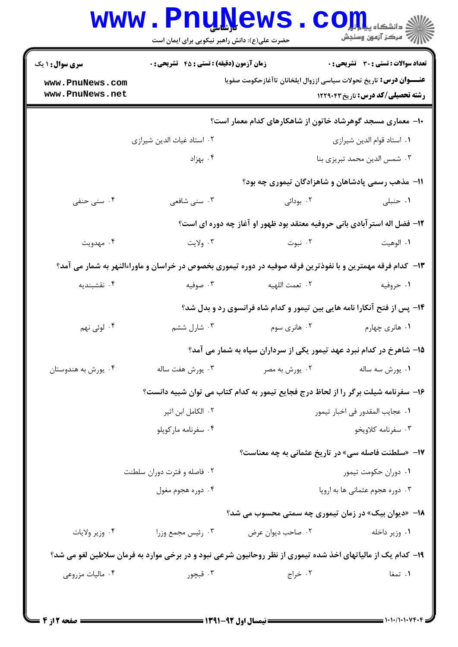| <b>سری سوال : ۱ یک</b>             | <b>زمان آزمون (دقیقه) : تستی : 45 تشریحی : 0</b>                                                             |                                                                                   | تعداد سوالات : تستي : 30 ٪ تشريحي : 0    |
|------------------------------------|--------------------------------------------------------------------------------------------------------------|-----------------------------------------------------------------------------------|------------------------------------------|
| www.PnuNews.com<br>www.PnuNews.net |                                                                                                              | <b>عنـــوان درس:</b> تاریخ تحولات سیاسی اززوال ایلخانان تاآغازحکومت صفویا         | <b>رشته تحصیلی/کد درس:</b> تاریخ ۱۲۲۹۰۴۳ |
|                                    |                                                                                                              | ۱۰– معماری مسجد گوهرشاد خاتون از شاهکارهای کدام معمار است؟                        |                                          |
|                                    | ۰۲ استاد غیاث الدین شیرازی                                                                                   |                                                                                   | ٠١. استاد قوام الدين شيرازي              |
|                                    | ۰۴ بهزاد                                                                                                     |                                                                                   | ۰۳ شمس الدين محمد تبريزي بنا             |
|                                    |                                                                                                              | 11- مذهب رسمی پادشاهان و شاهزادگان تیموری چه بود؟                                 |                                          |
| ۰۴ سنی حنفی                        | ۰۳ سنی شافعی                                                                                                 | ۰۲ بودائی                                                                         | ۰۱ حنبلی                                 |
|                                    |                                                                                                              | ۱۲- فضل اله استر آبادی بانی حروفیه معتقد بود ظهور او آغاز چه دوره ای است؟         |                                          |
| ۰۴ مهدویت                          | ۰۳ ولايت                                                                                                     | ۰۲ نبوت                                                                           | ٠١. الوهيت                               |
|                                    | ۱۳– کدام فرقه مهمترین و با نفوذترین فرقه صوفیه در دوره تیموری بخصوص در خراسان و ماوراءالنهر به شمار می آمد؟  |                                                                                   |                                          |
| ۰۴ نقشبندیه                        | ۰۳ صوفیه                                                                                                     | ٢. تعمت اللهيه                                                                    | ۰۱ حروفیه                                |
|                                    |                                                                                                              | ۱۴- پس از فتح آنکارا نامه هایی بین تیمور و کدام شاه فرانسوی رد و بدل شد؟          |                                          |
| ۰۴ لوئی نهم                        | ۰۳ شارل ششم                                                                                                  | ۰۲ هانری سوم                                                                      | ۰۱ هانري چهارم                           |
|                                    |                                                                                                              | ۱۵– شاهرخ در کدام نبرد عهد تیمور یکی از سرداران سپاه به شمار می آمد؟              |                                          |
| ۰۴ يورش به هندوستان                | ۰۳ يورش هفت ساله                                                                                             | ۰۲ يورش به مصر                                                                    | ۰۱ يورش سه ساله                          |
|                                    |                                                                                                              | ۱۶– سفرنامه شیلت برگر را از لحاظ درج فجایع تیمور به کدام کتاب می توان شبیه دانست؟ |                                          |
|                                    | ۰۲ الکامل ابن اثیر                                                                                           | ٠١. عجايب المقدور في اخبار تيمور                                                  |                                          |
|                                    | ۰۴ سفرنامه مارکوپلو                                                                                          |                                                                                   | ۰۳ سفرنامه کلاویخو                       |
|                                    |                                                                                                              | ۱۷- «سلطنت فاصله سی» در تاریخ عثمانی به چه معناست؟                                |                                          |
|                                    | ۰۲ فاصله و فترت دوران سلطنت                                                                                  | ۰۱ دوران حکومت تیمور                                                              |                                          |
|                                    | ۰۴ دوره هجوم مغول                                                                                            | ۰۳ دوره هجوم عثمانی ها به اروپا                                                   |                                          |
|                                    |                                                                                                              | ۱۸– «دیوان بیک» در زمان تیموری چه سمتی محسوب می شد؟                               |                                          |
| ۰۴ وزير ولايات                     | ۰۳ رئيس مجمع وزرا                                                                                            | ۰۲ صاحب ديوان عرض                                                                 | ۰۱ وزیر داخله                            |
|                                    | ۱۹- کدام یک از مالیاتهای اخذ شده تیموری از نظر روحانیون شرعی نبود و در برخی موارد به فرمان سلاطین لغو می شد؟ |                                                                                   |                                          |
| ۰۴ ماليات مزروعي                   | ۰۳ قبچور                                                                                                     | ۰۲ خراج                                                                           | ۰۱ تمغا                                  |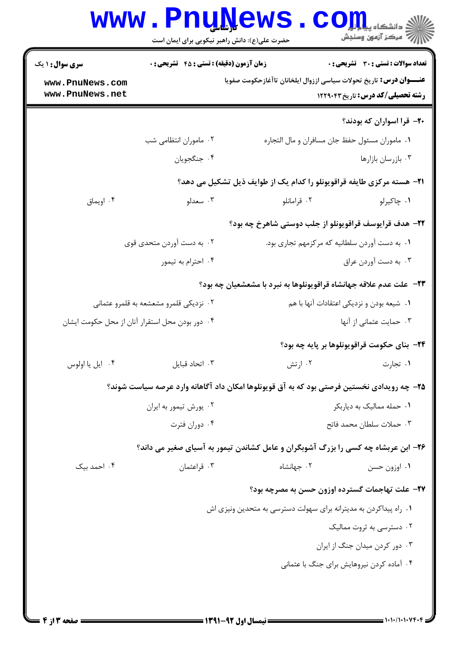| <b>سری سوال :</b> ۱ یک             | <b>زمان آزمون (دقیقه) : تستی : 45 گشریحی : 0</b> |                                                                                            | تعداد سوالات : تستى : 30 ٪ تشريحي : 0       |
|------------------------------------|--------------------------------------------------|--------------------------------------------------------------------------------------------|---------------------------------------------|
| www.PnuNews.com<br>www.PnuNews.net |                                                  | <b>عنـــوان درس:</b> تاریخ تحولات سیاسی اززوال ایلخانان تاآغازحکومت صفویا                  | <b>رشته تحصیلی/کد درس:</b> تاریخ ۱۲۲۹۰۴۳    |
|                                    |                                                  |                                                                                            | ۲۰– قرا اسواران که بودند؟                   |
|                                    | ۰۲ ماموران انتظامی شب                            | ٠١. ماموران مسئول حفظ جان مسافران و مال التجاره                                            |                                             |
|                                    | ۰۴ جنگجويان                                      |                                                                                            | ۰۳ بازرسان بازارها                          |
|                                    |                                                  | <b>۲۱</b> - هسته مرکزی طایفه قراقویونلو را کدام یک از طوایف ذیل تشکیل می دهد؟              |                                             |
| ۰۴ اویماق                          | ۰۳ سعدلو                                         | ۰۲ قرامانلو                                                                                | ۰۱ چاکیرلو                                  |
|                                    |                                                  | ۲۲- هدف قرایوسف قراقویونلو از جلب دوستی شاهرخ چه بود؟                                      |                                             |
| ۰۲ به دست آوردن متحدی قوی          |                                                  | ٠١. به دست آوردن سلطانيه كه مركزمهم تجارى بود.                                             |                                             |
|                                    | ۰۴ احترام به تیمور                               |                                                                                            | ۰۳ به دست آوردن عراق                        |
|                                    |                                                  | ۲۳−  علت عدم علاقه جهانشاه قراقویونلوها به نبرد با مشعشعیان چه بود؟                        |                                             |
|                                    | ۰۲ نزدیکی قلمرو مشعشعه به قلمرو عثمانی           | ۰۱ شیعه بودن و نزدیکی اعتقادات آنها با هم                                                  |                                             |
|                                    | ۰۴ دور بودن محل استقرار آنان از محل حکومت ایشان  | ۰۳ حمایت عثمانی از آنها                                                                    |                                             |
|                                    |                                                  |                                                                                            | ۲۴- بنای حکومت قراقویونلوها بر پایه چه بود؟ |
| ۰۴ ایل یا اولوس                    | ۰۳ اتحاد قبايل                                   | ۰۲ ارتش                                                                                    | ٠١. تجارت                                   |
|                                    |                                                  | ۲۵– چه رویدادی نخستین فرصتی بود که به آق قویونلوها امکان داد آگاهانه وارد عرصه سیاست شوند؟ |                                             |
|                                    | ۰۲ يورش تيمور به ايران                           |                                                                                            | ۰۱ حمله ممالیک به دیاربکر                   |
|                                    | ۰۴ دوران فترت                                    |                                                                                            | ٠٣ حملات سلطان محمد فاتح                    |
|                                    |                                                  | ۲۶- ابن عربشاه چه کسی را بزرگ آشوبگران و عامل کشاندن تیمور به آسیای صغیر می داند؟          |                                             |
| ۰۴ احمد بیک                        | ۰۳ قراعثمان                                      | ۰۲ جهانشاه                                                                                 | ۰۱ اوزون حسن                                |
|                                    |                                                  | ٢٧- علت تهاجمات گسترده اوزون حسن به مصرچه بود؟                                             |                                             |
|                                    |                                                  | ۰۱ راه پیداکردن به مدیترانه برای سهولت دسترسی به متحدین ونیزی اش                           |                                             |
|                                    |                                                  |                                                                                            | ۰۲ دسترسی به ثروت ممالیک                    |
|                                    |                                                  |                                                                                            | ۰۳ دور کردن میدان جنگ از ایران              |
|                                    |                                                  |                                                                                            | ۰۴ آماده کردن نیروهایش برای جنگ با عثمانی   |